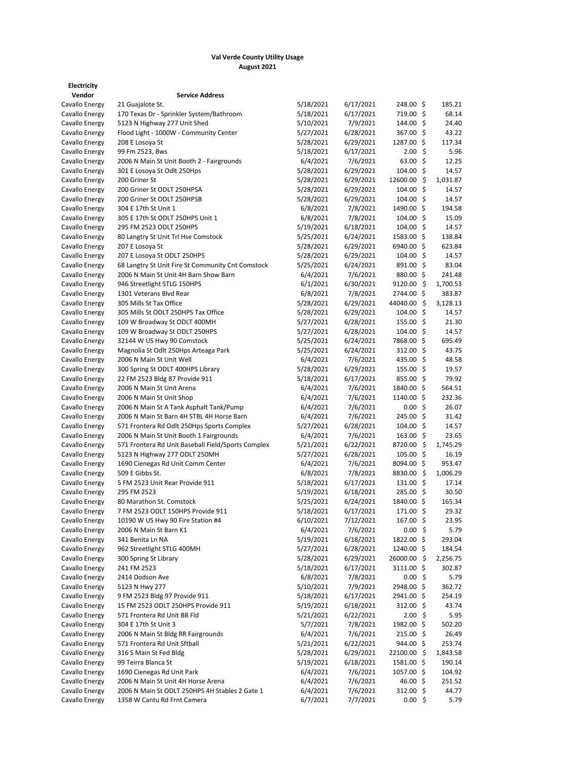## **Val Verde County Utility Usage August 2021**

| <b>Electricity</b> |                                                    |           |           |                    |          |
|--------------------|----------------------------------------------------|-----------|-----------|--------------------|----------|
| Vendor             | <b>Service Address</b>                             |           |           |                    |          |
| Cavallo Energy     | 21 Guajalote St.                                   | 5/18/2021 | 6/17/2021 | 248.00 \$          | 185.21   |
| Cavallo Energy     | 170 Texas Dr - Sprinkler System/Bathroom           | 5/18/2021 | 6/17/2021 | 719.00 \$          | 68.14    |
| Cavallo Energy     | 5123 N Highway 277 Unit Shed                       | 5/10/2021 | 7/9/2021  | 144.00 \$          | 24.40    |
| Cavallo Energy     | Flood Light - 1000W - Community Center             | 5/27/2021 | 6/28/2021 | 367.00 \$          | 43.22    |
| Cavallo Energy     | 208 E Losova St                                    | 5/28/2021 | 6/29/2021 | 1287.00 \$         | 117.34   |
| Cavallo Energy     | 99 Fm 2523, Bws                                    | 5/18/2021 | 6/17/2021 | 2.00%              | 5.96     |
| Cavallo Energy     | 2006 N Main St Unit Booth 2 - Fairgrounds          | 6/4/2021  | 7/6/2021  | 63.00%             | 12.25    |
| Cavallo Energy     | 301 E Losoya St Odlt 250Hps                        | 5/28/2021 | 6/29/2021 | 104.00%            | 14.57    |
| Cavallo Energy     | 200 Griner St                                      | 5/28/2021 | 6/29/2021 | 12600.00 \$        | 1,031.87 |
| Cavallo Energy     | 200 Griner St ODLT 250HPSA                         | 5/28/2021 | 6/29/2021 | 104.00%            | 14.57    |
| Cavallo Energy     | 200 Griner St ODLT 250HPSB                         | 5/28/2021 | 6/29/2021 | 104.00%            | 14.57    |
| Cavallo Energy     | 304 E 17th St Unit 1                               | 6/8/2021  | 7/8/2021  | 1490.00 \$         | 194.58   |
| Cavallo Energy     | 305 E 17th St ODLT 250HPS Unit 1                   | 6/8/2021  | 7/8/2021  | 104.00%            | 15.09    |
| Cavallo Energy     | 295 FM 2523 ODLT 250HPS                            | 5/19/2021 | 6/18/2021 | 104.00%            | 14.57    |
| Cavallo Energy     | 80 Langtry St Unit Trl Hse Comstock                | 5/25/2021 | 6/24/2021 | 1583.00 \$         | 138.84   |
| Cavallo Energy     | 207 E Losoya St                                    | 5/28/2021 | 6/29/2021 | 6940.00 \$         | 623.84   |
| Cavallo Energy     | 207 E Losoya St ODLT 250HPS                        | 5/28/2021 | 6/29/2021 | 104.00%            | 14.57    |
| Cavallo Energy     | 68 Langtry St Unit Fire St Community Cnt Comstock  | 5/25/2021 | 6/24/2021 | 891.00 \$          | 83.04    |
| Cavallo Energy     | 2006 N Main St Unit 4H Barn Show Barn              | 6/4/2021  | 7/6/2021  | 880.00 \$          | 241.48   |
| Cavallo Energy     | 946 Streetlight STLG 150HPS                        | 6/1/2021  | 6/30/2021 | 9120.00 \$         | 1,700.53 |
| Cavallo Energy     | 1301 Veterans Blvd Rear                            | 6/8/2021  | 7/8/2021  | 2744.00 \$         | 383.87   |
| Cavallo Energy     | 305 Mills St Tax Office                            | 5/28/2021 | 6/29/2021 | 44040.00 \$        | 3,128.13 |
| Cavallo Energy     | 305 Mills St ODLT 250HPS Tax Office                | 5/28/2021 | 6/29/2021 | 104.00 \$          | 14.57    |
| Cavallo Energy     | 109 W Broadway St ODLT 400MH                       | 5/27/2021 | 6/28/2021 | 155.00%            | 21.30    |
| Cavallo Energy     | 109 W Broadway St ODLT 250HPS                      | 5/27/2021 | 6/28/2021 | 104.00%            | 14.57    |
| Cavallo Energy     | 32144 W US Hwy 90 Comstock                         | 5/25/2021 | 6/24/2021 | 7868.00 \$         | 695.49   |
| Cavallo Energy     | Magnolia St Odlt 250Hps Arteaga Park               | 5/25/2021 | 6/24/2021 | 312.00 \$          | 43.75    |
| Cavallo Energy     | 2006 N Main St Unit Well                           | 6/4/2021  | 7/6/2021  | 435.00 \$          | 48.58    |
| Cavallo Energy     | 300 Spring St ODLT 400HPS Library                  | 5/28/2021 | 6/29/2021 | 155.00 \$          | 19.57    |
| Cavallo Energy     | 22 FM 2523 Bldg 87 Provide 911                     | 5/18/2021 | 6/17/2021 | $855.00$ \$        | 79.92    |
| Cavallo Energy     | 2006 N Main St Unit Arena                          | 6/4/2021  | 7/6/2021  | 1840.00 \$         | 564.51   |
| Cavallo Energy     | 2006 N Main St Unit Shop                           | 6/4/2021  | 7/6/2021  | 1140.00 \$         | 232.36   |
| Cavallo Energy     | 2006 N Main St A Tank Asphalt Tank/Pump            | 6/4/2021  | 7/6/2021  | 0.00%              | 26.07    |
| Cavallo Energy     | 2006 N Main St Barn 4H STBL 4H Horse Barn          | 6/4/2021  | 7/6/2021  | 245.00 \$          | 31.42    |
| Cavallo Energy     | 571 Frontera Rd Odlt 250Hps Sports Complex         | 5/27/2021 | 6/28/2021 | $104.00$ \$        | 14.57    |
| Cavallo Energy     | 2006 N Main St Unit Booth 1 Fairgrounds            | 6/4/2021  | 7/6/2021  | $163.00 \; \simeq$ | 23.65    |
| Cavallo Energy     | 571 Frontera Rd Unit Baseball Field/Sports Complex | 5/21/2021 | 6/22/2021 | 8720.00 \$         | 1,745.29 |
| Cavallo Energy     | 5123 N Highway 277 ODLT 250MH                      | 5/27/2021 | 6/28/2021 | 105.00%            | 16.19    |
| Cavallo Energy     | 1690 Cienegas Rd Unit Comm Center                  | 6/4/2021  | 7/6/2021  | 8094.00 \$         | 953.47   |
| Cavallo Energy     | 509 E Gibbs St.                                    | 6/8/2021  | 7/8/2021  | 8830.00 \$         | 1,006.29 |
| Cavallo Energy     | 5 FM 2523 Unit Rear Provide 911                    | 5/18/2021 | 6/17/2021 | 131.00 \$          | 17.14    |
| Cavallo Energy     | 295 FM 2523                                        | 5/19/2021 | 6/18/2021 | $285.00$ \$        | 30.50    |
| Cavallo Energy     | 80 Marathon St. Comstock                           | 5/25/2021 | 6/24/2021 | 1840.00 \$         | 165.34   |
| Cavallo Energy     | 7 FM 2523 ODLT 150HPS Provide 911                  | 5/18/2021 | 6/17/2021 | 171.00 \$          | 29.32    |
| Cavallo Energy     | 10190 W US Hwy 90 Fire Station #4                  | 6/10/2021 | 7/12/2021 | 167.00 \$          | 23.95    |
| Cavallo Energy     | 2006 N Main St Barn K1                             | 6/4/2021  | 7/6/2021  | 0.00%              | 5.79     |
| Cavallo Energy     | 341 Benita Ln NA                                   | 5/19/2021 | 6/18/2021 | 1822.00 \$         | 293.04   |
| Cavallo Energy     | 962 Streetlight STLG 400MH                         | 5/27/2021 | 6/28/2021 | 1240.00 \$         | 184.54   |
| Cavallo Energy     | 300 Spring St Library                              | 5/28/2021 | 6/29/2021 | 26000.00 \$        | 2,256.75 |
| Cavallo Energy     | 241 FM 2523                                        | 5/18/2021 | 6/17/2021 | 3111.00 \$         | 302.87   |
| Cavallo Energy     | 2414 Dodson Ave                                    | 6/8/2021  | 7/8/2021  | 0.00%              |          |
| Cavallo Energy     |                                                    | 5/10/2021 | 7/9/2021  | 2948.00 \$         | 5.79     |
| Cavallo Energy     | 5123 N Hwy 277<br>9 FM 2523 Bldg 97 Provide 911    | 5/18/2021 | 6/17/2021 | 2941.00 \$         | 362.72   |
|                    | 15 FM 2523 ODLT 250HPS Provide 911                 |           |           |                    | 254.19   |
| Cavallo Energy     |                                                    | 5/19/2021 | 6/18/2021 | $312.00$ \$        | 43.74    |
| Cavallo Energy     | 571 Frontera Rd Unit BB Fld                        | 5/21/2021 | 6/22/2021 | 2.00%              | 5.95     |
| Cavallo Energy     | 304 E 17th St Unit 3                               | 5/7/2021  | 7/8/2021  | 1982.00 \$         | 502.20   |
| Cavallo Energy     | 2006 N Main St Bldg RR Fairgrounds                 | 6/4/2021  | 7/6/2021  | $215.00$ \$        | 26.49    |
| Cavallo Energy     | 571 Frontera Rd Unit Sftball                       | 5/21/2021 | 6/22/2021 | $944.00$ \$        | 253.74   |
| Cavallo Energy     | 316 S Main St Fed Bldg                             | 5/28/2021 | 6/29/2021 | 22100.00 \$        | 1,843.58 |
| Cavallo Energy     | 99 Teirra Blanca St                                | 5/19/2021 | 6/18/2021 | 1581.00 \$         | 190.14   |
| Cavallo Energy     | 1690 Cienegas Rd Unit Park                         | 6/4/2021  | 7/6/2021  | 1057.00 \$         | 104.92   |
| Cavallo Energy     | 2006 N Main St Unit 4H Horse Arena                 | 6/4/2021  | 7/6/2021  | 46.00 \$           | 251.52   |
| Cavallo Energy     | 2006 N Main St ODLT 250HPS 4H Stables 2 Gate 1     | 6/4/2021  | 7/6/2021  | 312.00 \$          | 44.77    |
| Cavallo Energy     | 1358 W Cantu Rd Frnt Camera                        | 6/7/2021  | 7/7/2021  | 0.00%              | 5.79     |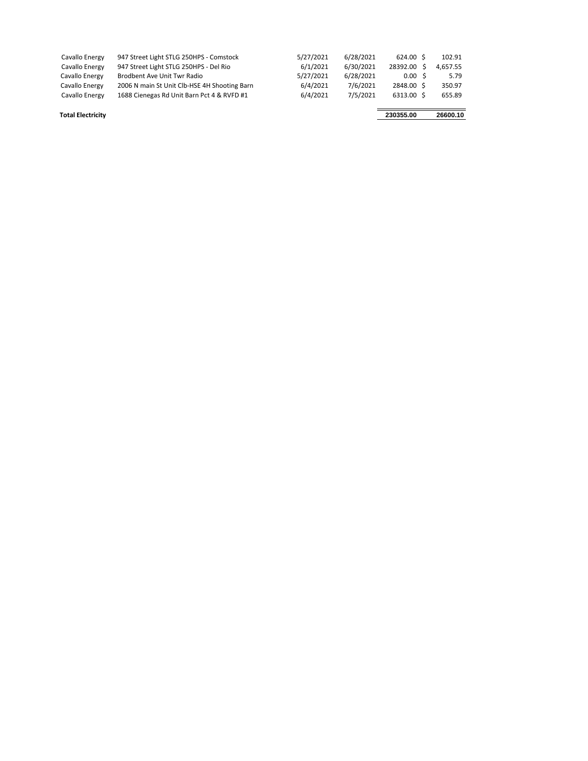| Cavallo Energy | 947 Street Light STLG 250HPS - Comstock      | 5/27/2021 | 6/28/2021 | 624.00 \$    | 102.91   |
|----------------|----------------------------------------------|-----------|-----------|--------------|----------|
| Cavallo Energy | 947 Street Light STLG 250HPS - Del Rio       | 6/1/2021  | 6/30/2021 | 28392.00     | 4.657.55 |
| Cavallo Energy | Brodbent Ave Unit Twr Radio                  | 5/27/2021 | 6/28/2021 | $0.00 \,$ \$ | 5.79     |
| Cavallo Energy | 2006 N main St Unit Clb-HSE 4H Shooting Barn | 6/4/2021  | 7/6/2021  | 2848.00 \$   | 350.97   |
| Cavallo Energy | 1688 Cienegas Rd Unit Barn Pct 4 & RVFD #1   | 6/4/2021  | 7/5/2021  | 6313.00 \$   | 655.89   |
|                |                                              |           |           |              |          |

**Total Electricity 230355.00 26600.10**